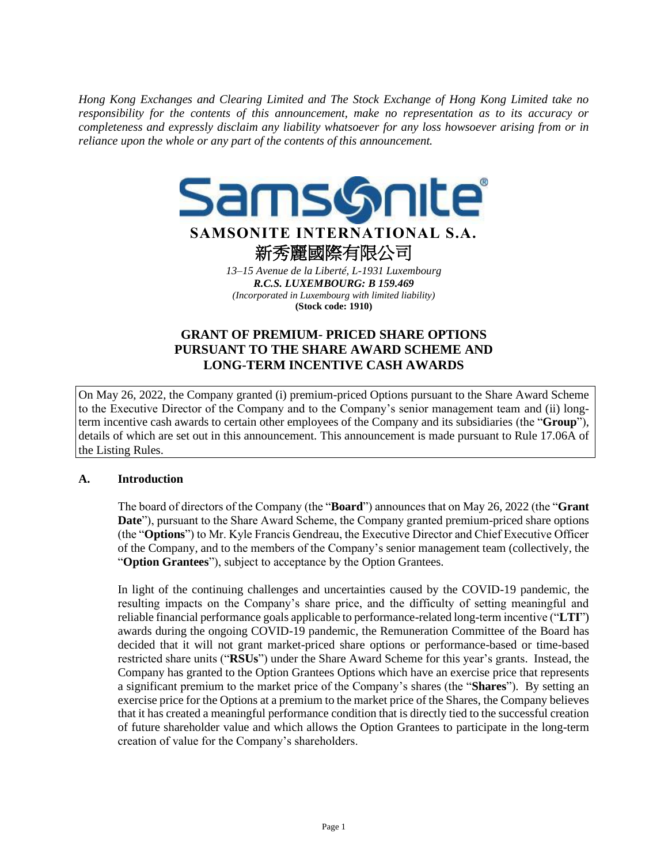*Hong Kong Exchanges and Clearing Limited and The Stock Exchange of Hong Kong Limited take no responsibility for the contents of this announcement, make no representation as to its accuracy or completeness and expressly disclaim any liability whatsoever for any loss howsoever arising from or in reliance upon the whole or any part of the contents of this announcement.*



# **GRANT OF PREMIUM- PRICED SHARE OPTIONS PURSUANT TO THE SHARE AWARD SCHEME AND LONG-TERM INCENTIVE CASH AWARDS**

On May 26, 2022, the Company granted (i) premium-priced Options pursuant to the Share Award Scheme to the Executive Director of the Company and to the Company's senior management team and (ii) longterm incentive cash awards to certain other employees of the Company and its subsidiaries (the "**Group**"), details of which are set out in this announcement. This announcement is made pursuant to Rule 17.06A of the Listing Rules.

## **A. Introduction**

The board of directors of the Company (the "**Board**") announces that on May 26, 2022 (the "**Grant Date**"), pursuant to the Share Award Scheme, the Company granted premium-priced share options (the "**Options**") to Mr. Kyle Francis Gendreau, the Executive Director and Chief Executive Officer of the Company, and to the members of the Company's senior management team (collectively, the "**Option Grantees**"), subject to acceptance by the Option Grantees.

In light of the continuing challenges and uncertainties caused by the COVID-19 pandemic, the resulting impacts on the Company's share price, and the difficulty of setting meaningful and reliable financial performance goals applicable to performance-related long-term incentive ("**LTI**") awards during the ongoing COVID-19 pandemic, the Remuneration Committee of the Board has decided that it will not grant market-priced share options or performance-based or time-based restricted share units ("**RSUs**") under the Share Award Scheme for this year's grants. Instead, the Company has granted to the Option Grantees Options which have an exercise price that represents a significant premium to the market price of the Company's shares (the "**Shares**"). By setting an exercise price for the Options at a premium to the market price of the Shares, the Company believes that it has created a meaningful performance condition that is directly tied to the successful creation of future shareholder value and which allows the Option Grantees to participate in the long-term creation of value for the Company's shareholders.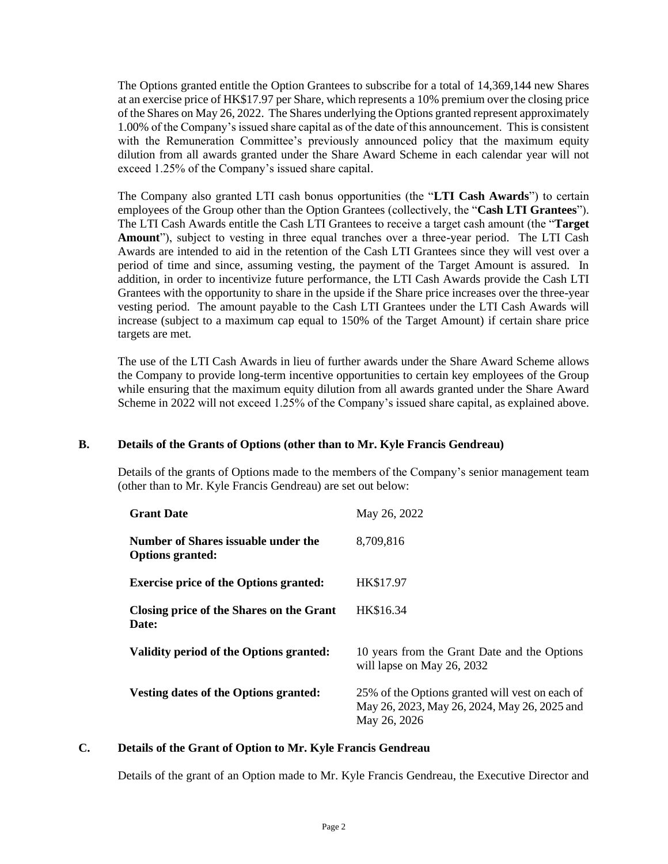The Options granted entitle the Option Grantees to subscribe for a total of 14,369,144 new Shares at an exercise price of HK\$17.97 per Share, which represents a 10% premium over the closing price of the Shares on May 26, 2022. The Shares underlying the Options granted represent approximately 1.00% of the Company's issued share capital as of the date of this announcement. This is consistent with the Remuneration Committee's previously announced policy that the maximum equity dilution from all awards granted under the Share Award Scheme in each calendar year will not exceed 1.25% of the Company's issued share capital.

The Company also granted LTI cash bonus opportunities (the "**LTI Cash Awards**") to certain employees of the Group other than the Option Grantees (collectively, the "**Cash LTI Grantees**"). The LTI Cash Awards entitle the Cash LTI Grantees to receive a target cash amount (the "**Target Amount**"), subject to vesting in three equal tranches over a three-year period. The LTI Cash Awards are intended to aid in the retention of the Cash LTI Grantees since they will vest over a period of time and since, assuming vesting, the payment of the Target Amount is assured. In addition, in order to incentivize future performance, the LTI Cash Awards provide the Cash LTI Grantees with the opportunity to share in the upside if the Share price increases over the three-year vesting period. The amount payable to the Cash LTI Grantees under the LTI Cash Awards will increase (subject to a maximum cap equal to 150% of the Target Amount) if certain share price targets are met.

The use of the LTI Cash Awards in lieu of further awards under the Share Award Scheme allows the Company to provide long-term incentive opportunities to certain key employees of the Group while ensuring that the maximum equity dilution from all awards granted under the Share Award Scheme in 2022 will not exceed 1.25% of the Company's issued share capital, as explained above.

## **B. Details of the Grants of Options (other than to Mr. Kyle Francis Gendreau)**

Details of the grants of Options made to the members of the Company's senior management team (other than to Mr. Kyle Francis Gendreau) are set out below:

| <b>Grant Date</b>                                              | May 26, 2022                                                                                                    |
|----------------------------------------------------------------|-----------------------------------------------------------------------------------------------------------------|
| Number of Shares issuable under the<br><b>Options granted:</b> | 8,709,816                                                                                                       |
| <b>Exercise price of the Options granted:</b>                  | HK\$17.97                                                                                                       |
| Closing price of the Shares on the Grant<br>Date:              | HK\$16.34                                                                                                       |
| Validity period of the Options granted:                        | 10 years from the Grant Date and the Options<br>will lapse on May 26, 2032                                      |
| Vesting dates of the Options granted:                          | 25% of the Options granted will vest on each of<br>May 26, 2023, May 26, 2024, May 26, 2025 and<br>May 26, 2026 |

## **C. Details of the Grant of Option to Mr. Kyle Francis Gendreau**

Details of the grant of an Option made to Mr. Kyle Francis Gendreau, the Executive Director and